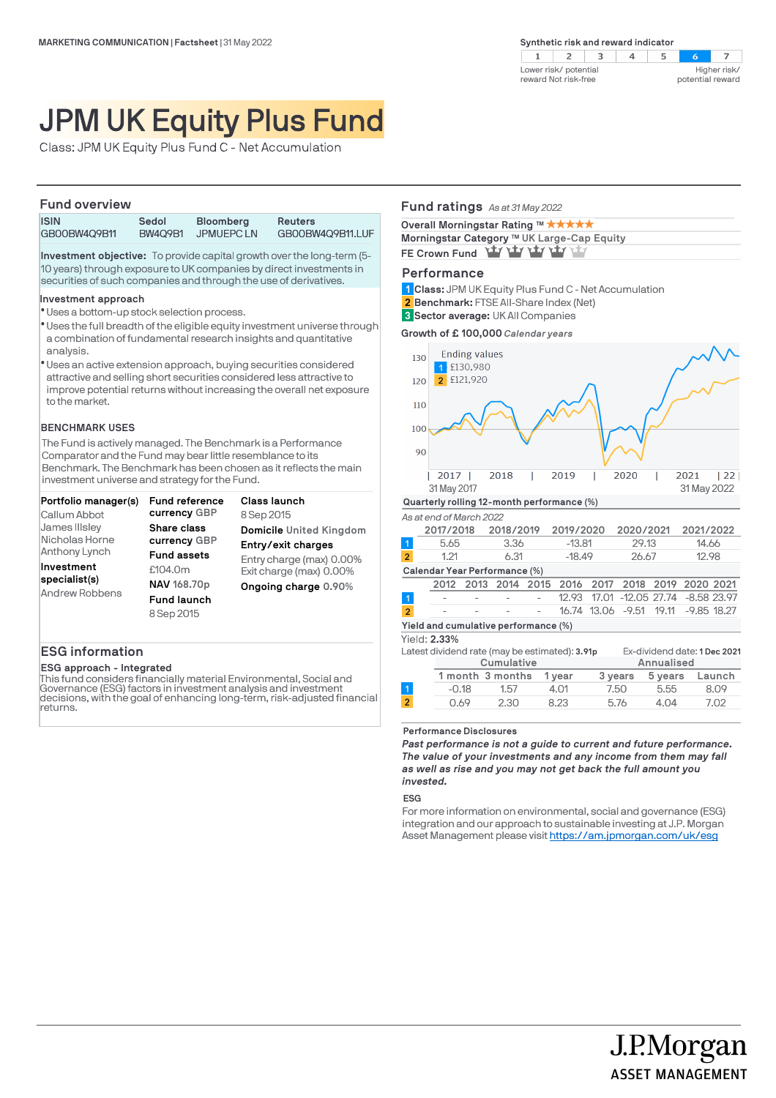$\overline{2}$  $\mathcal{A}$  $\overline{\mathbf{3}}$  $\overline{z}$  $\mathbf{1}$  $\overline{4}$  $5^{\circ}$  $\sim$ Higher risk/ Lower risk/ potential reward Not risk-free potential reward

# JPM UK Equity Plus Fund

Class: JPM UK Equity Plus Fund C - Net Accumulation

### **Fund overview**

| .            |                |                  |                  |
|--------------|----------------|------------------|------------------|
| <b>ISIN</b>  | Sedol          | <b>Bloomberg</b> | <b>Reuters</b>   |
| GB00BW4Q9B11 | <b>BW409B1</b> | JPMUEPC LN       | GB00BW4Q9B11.LUF |

**Investment objective:** To provide capital growth over the long-term (5- 10 years) through exposure to UK companies by direct investments in securities of such companies and through the use of derivatives.

### **Investment approach**

- Uses a bottom-up stock selection process. l
- \* Uses the full breadth of the eligible equity investment universe through a combination of fundamental research insights and quantitative analysis.
- Uses an active extension approach, buying securities considered l attractive and selling short securities considered less attractive to improve potential returns without increasing the overall net exposure to the market.

### **BENCHMARK USES**

The Fund is actively managed. The Benchmark is a Performance Comparator and the Fund may bear little resemblance to its Benchmark. The Benchmark has been chosen as it reflects the main investment universe and strategy for the Fund.

| Portfolio manager(s)                   | Fund reference     | Class launch             |  |
|----------------------------------------|--------------------|--------------------------|--|
| Callum Abbot                           | currency GBP       | 8 Sep 2015               |  |
| James IIIsley                          | Share class        | Domicile United Kingdom  |  |
| Nicholas Horne                         | currency GBP       | Entry/exit charges       |  |
| Anthony Lynch                          | <b>Fund assets</b> | Entry charge (max) 0.00% |  |
| Investment                             | £104.0m            | Exit charge (max) 0.00%  |  |
| specialist(s)<br><b>Andrew Robbens</b> | NAV 168.70p        | Ongoing charge 0.90%     |  |
|                                        | <b>Fund launch</b> |                          |  |
|                                        | 8 Sep 2015         |                          |  |

### **ESG information**

#### **ESG approach - Integrated**

This fund considers financially material Environmental, Social and Governance (ESG) factors in investment analysis and investment decisions, with the goal of enhancing long-term, risk-adjusted financial returns.

### **Fund ratings** *As at 31 May 2022*

| Overall Morningstar Rating ™ ★★★★★         |
|--------------------------------------------|
| Morningstar Category ™ UK Large-Cap Equity |
| FE Crown Fund Yay Yay Yay Yay Yay          |

### **Performance**

**Class:** JPM UK Equity Plus Fund C - Net Accumulation **1**

**Benchmark:** FTSE All-Share Index (Net) **2**

**Sector average:** UK All Companies **3**

**Growth of £ 100,000** *Calendar years*



### **Performance Disclosures**

*Past performance is not a guide to current and future performance. The value of your investments and any income from them may fall as well as rise and you may not get back the full amount you invested.* 

0.69 2.30 8.23 5.76 4.04 7.02

J.P.Morgan

**ASSET MANAGEMENT** 

### **ESG**

For more information on environmental, social and governance (ESG) integration and our approach to sustainable investing at J.P. Morgan Asset Management please visit https://am.jpmorgan.com/uk/esg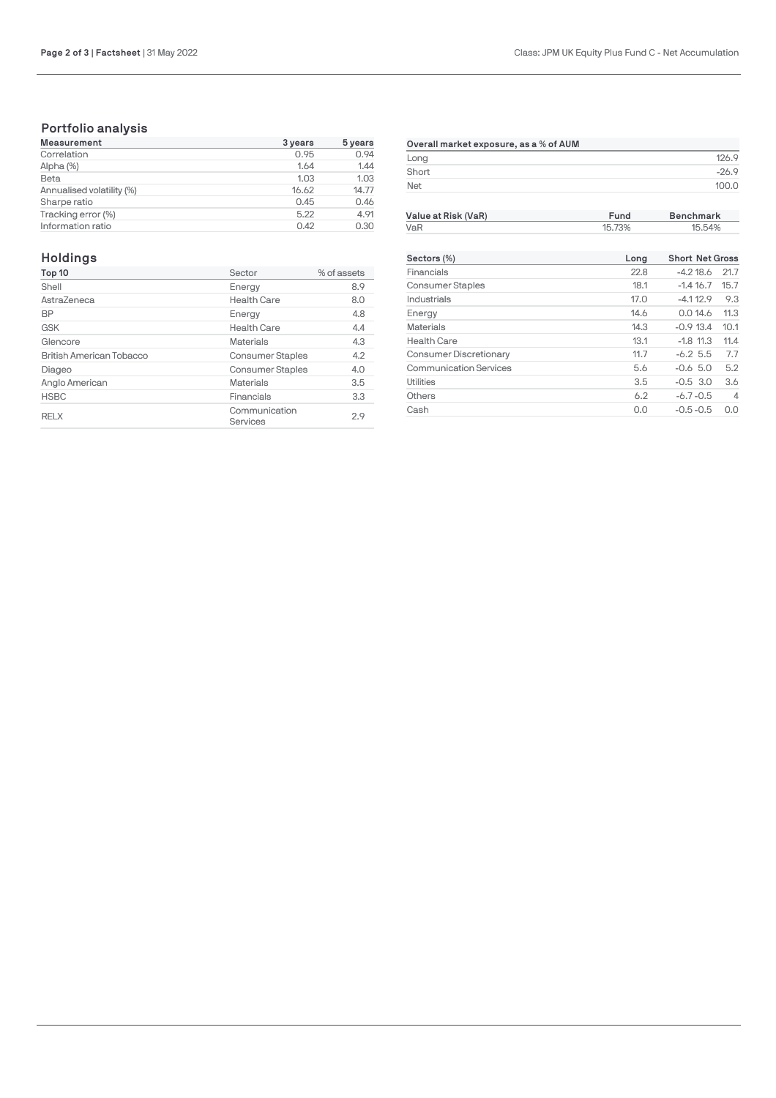## **Portfolio analysis**

| <b>Measurement</b>        | 3 years | 5 years |
|---------------------------|---------|---------|
| Correlation               | 0.95    | 0.94    |
| Alpha (%)                 | 1.64    | 1.44    |
| Beta                      | 1.03    | 1.03    |
| Annualised volatility (%) | 16.62   | 14.77   |
| Sharpe ratio              | 0.45    | 0.46    |
| Tracking error (%)        | 5.22    | 4.91    |
| Information ratio         | 0.42    | 0.30    |

| Overall market exposure, as a % of AUM |          |
|----------------------------------------|----------|
| Long                                   |          |
| Short                                  | $-269$   |
| Net                                    | 71 N 1 L |

**Value at Risk (VaR) Fund Benchmark**

### **Holdings**

| Top 10                          | Sector                    | % of assets |
|---------------------------------|---------------------------|-------------|
| Shell                           | Energy                    | 8.9         |
| AstraZeneca                     | <b>Health Care</b>        | 8.0         |
| <b>BP</b>                       | Energy                    | 4.8         |
| <b>GSK</b>                      | <b>Health Care</b>        | 4.4         |
| Glencore                        | <b>Materials</b>          | 4.3         |
| <b>British American Tobacco</b> | <b>Consumer Staples</b>   | 4.2         |
| Diageo                          | <b>Consumer Staples</b>   | 4.0         |
| Anglo American                  | <b>Materials</b>          | 3.5         |
| <b>HSBC</b>                     | Financials                | 3.3         |
| <b>RELX</b>                     | Communication<br>Services | 2.9         |

| VaR                           | 15.73% |                        | 15.54%         |  |
|-------------------------------|--------|------------------------|----------------|--|
| Sectors (%)                   | Long   | <b>Short Net Gross</b> |                |  |
| Financials                    | 22.8   | $-4.218.6$             | 21.7           |  |
| <b>Consumer Staples</b>       | 18.1   | $-1.416.7$             | 15.7           |  |
| Industrials                   | 17.0   | $-4.112.9$             | 9.3            |  |
| Energy                        | 14.6   | 0.014.6                | 11.3           |  |
| <b>Materials</b>              | 14.3   | $-0.913.4$             | 10.1           |  |
| <b>Health Care</b>            | 13.1   | $-1.8$ 11.3            | 11.4           |  |
| Consumer Discretionary        | 11.7   | $-6.25.5$              | 7.7            |  |
| <b>Communication Services</b> | 5.6    | $-0.6$ 5.0             | 5.2            |  |
| Utilities                     | 3.5    | $-0.5$ 3.0             | 3.6            |  |
| Others                        | 6.2    | $-6.7 - 0.5$           | $\overline{4}$ |  |
| Cash                          | 0.0    | $-0.5 - 0.5$           | 0.0            |  |
|                               |        |                        |                |  |